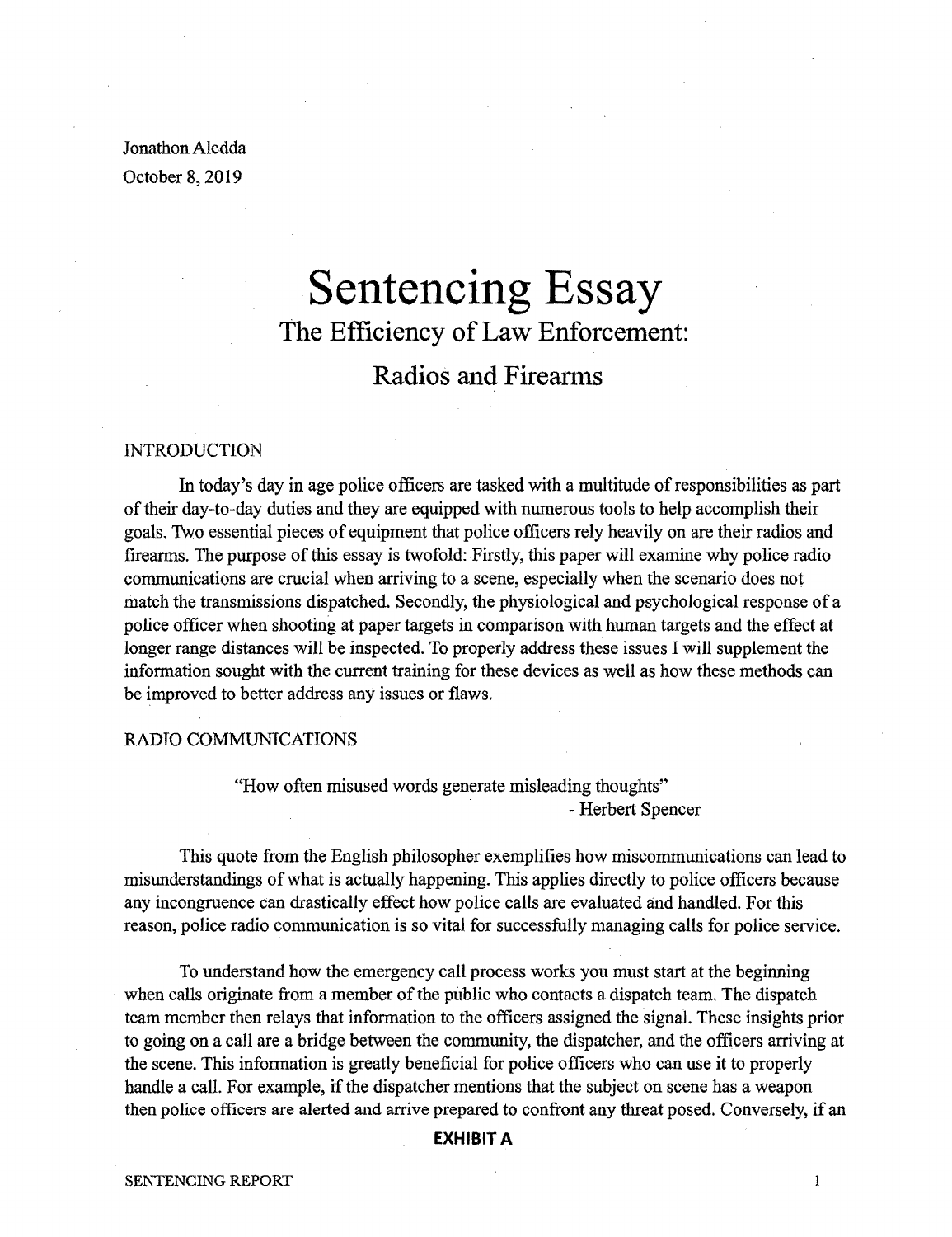Jonathon Aledda October 8, 2019

# .**Sentencing Essay** The Efficiency of Law Enforcement:

# Radios and Firearms

## INTRODUCTION

In today's day in age police officers are tasked with a multitude of responsibilities as part oftheir day-to-day duties and they are equipped with numerous tools to help accomplish their goals. Two essential pieces of equipment that police officers rely heavily on are their radios and firearms. The purpose of this essay is twofold: Firstly, this paper will examine why police radio communications are crucial when arriving to a scene, especially when the scenario does not match the transmissions dispatched. Secondly, the physiological and psychological response of a police officer when shooting at paper targets in comparison with human targets and the effect at longer range distances will be inspected. To properly address these issues I will supplement the information sought with the current training for these devices as well as how these methods can be improved to better address any issues or flaws.

#### RADIO COMMUNICATIONS

"How often misused words generate misleading thoughts" - Herbert Spencer

This quote from the English philosopher exemplifies how miscommunications can lead to misunderstandings ofwhat is actually happening. This applies directly to police officers because any incongruence can drastically effect how police calls are evaluated and handled. For this reason, police radio communication is so vital for successfully managing calls for police service.

To understand how the emergency call process works you must start at the beginning when calls originate from a member of the public who contacts a dispatch team. The dispatch team member then relays that information to the officers assigned the signal. These insights prior to going on a call are a bridge between the community, the dispatcher, and the officers arriving at the scene. This information is greatly beneficial for police officers who can use it to properly handle a call. For example, if the dispatcher mentions that the subject on scene has a weapon then police officers are alerted and arrive prepared to confront any threat posed. Conversely, if an

## **EXHIBIT A**

 $\mathbf{1}$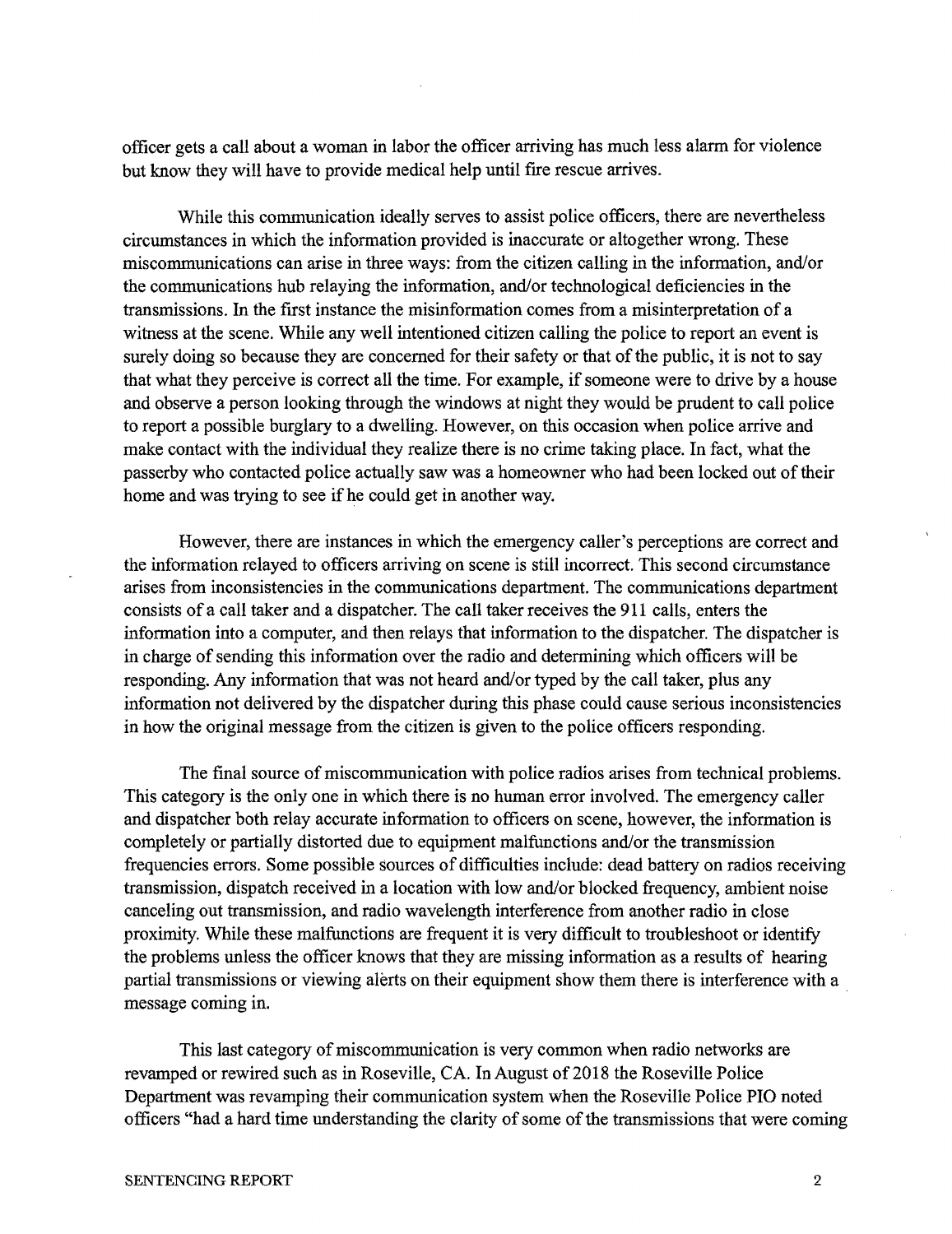officer gets a call about a woman in labor the officer arriving has much less alarm for violence but know they will have to provide medical help until fire rescue arrives.

While this communication ideally serves to assist police officers, there are nevertheless circumstances in which the information provided is inaccurate or altogether wrong. These miscommunications can arise in three ways: from the citizen calling in the information, and/or the communications hub relaying the information, and/or technological deficiencies in the transmissions. In the first instance the misinformation comes from a misinterpretation of a witness at the scene. While any well intentioned citizen calling the police to report an event is surely doing so because they are concerned for their safety or that of the public, it is not to say that what they perceive is correct all the time. For example, if someone were to drive by a house and observe a person looking through the windows at night they would be prudent to call police to report a possible burglary to a dwelling. However, on this occasion when police arrive and make contact with the individual they realize there is no crime taking place. In fact, what the passerby who contacted police actually saw was a homeowner who had been locked out oftheir home and was trying to see if he could get in another way.

However, there are instances in which the emergency caller's perceptions are correct and the information relayed to officers arriving on scene is still incorrect. This second circumstance arises from inconsistencies in the communications department. The communications department consists of a call taker and a dispatcher. The call taker receives the 911 calls, enters the information into a computer, and then relays that information to the dispatcher. The dispatcher is in charge of sending this information over the radio and determining which officers will be responding. Any information that was not heard and/or typed by the call taker, plus any information not delivered by the dispatcher during this phase could cause serious inconsistencies in how the original message from the citizen is given to the police officers responding.

The final source of miscommunication with police radios arises from technical problems. This category is the only one in which there is no human error involved. The emergency caller and dispatcher both relay accurate information to officers on scene, however, the information is completely or partially distorted due to equipment malfunctions and/or the transmission frequencies errors. Some possible sources of difficulties include: dead battery on radios receiving transmission, dispatch received in a location with low and/or blocked frequency, ambient noise canceling out transmission, and radio wavelength interference from another radio in close proximity. While these malfunctions are frequent it is very difficult to troubleshoot or identify the problems unless the officer knows that they are missing information as a results of hearing partial transmissions or viewing alerts on their equipment show them there is interference with a message coming in.

This last category of miscommunication is very common when radio networks are revamped or rewired such as in Roseville, CA. In August of 2018 the Roseville Police Department was revamping their communication system when the Roseville Police PIO noted officers "had a hard time understanding the clarity of some of the transmissions that were coming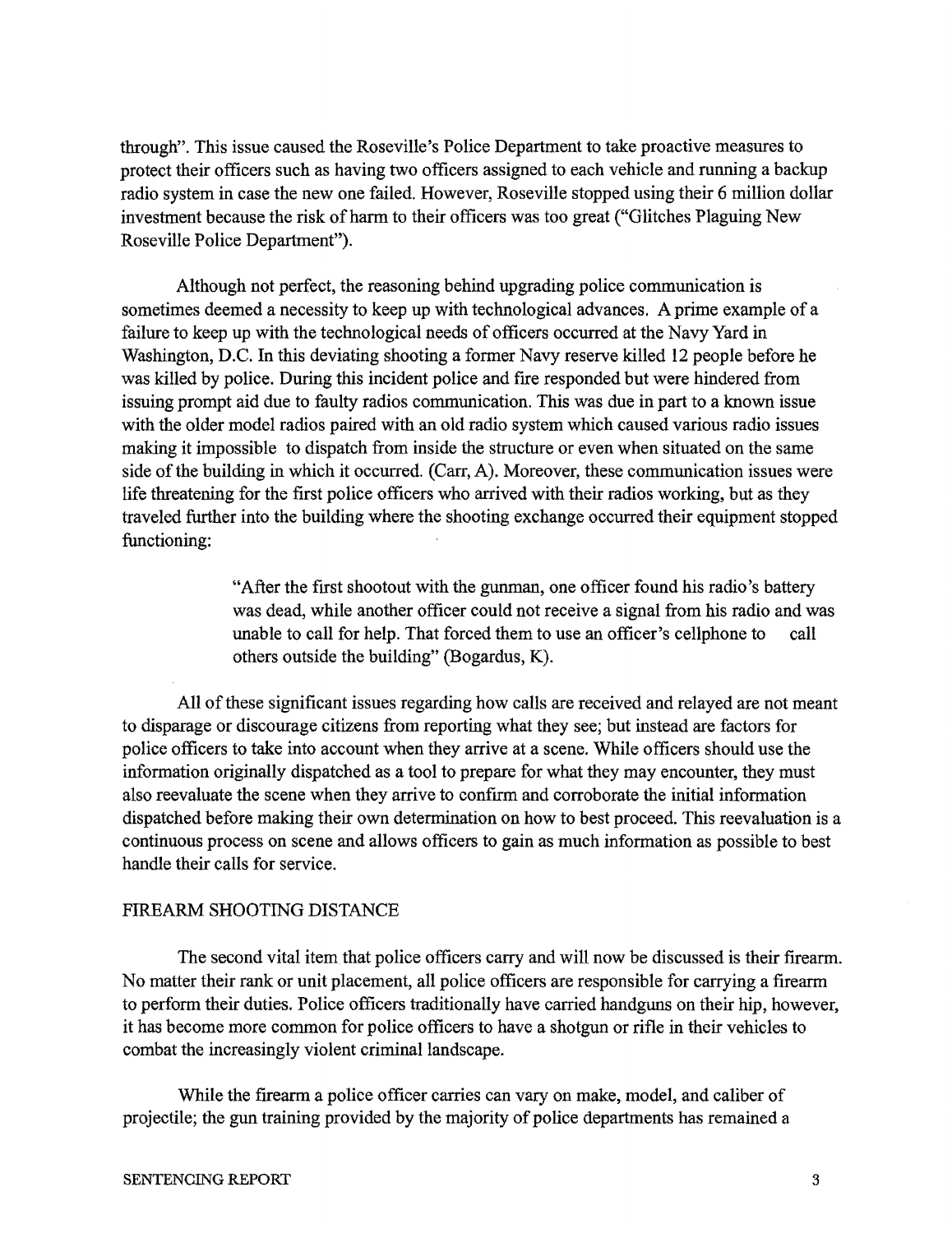through". This issue caused the Roseville's Police Department to take proactive measures to protect their officers such as having two officers assigned to each vehicle and running a backup radio system in case the new one failed. However, Roseville stopped using their 6 million dollar investment because the risk of harm to their officers was too great ("Glitches Plaguing New Roseville Police Department").

Although not perfect, the reasoning behind upgrading police communication is sometimes deemed a necessity to keep up with technological advances. A prime example of a failure to keep up with the technological needs of officers occurred at the Navy Yard in Washington, D.C. In this deviating shooting a former Navy reserve killed 12 people before he was killed by police. During this incident police and fire responded but were hindered from issuing prompt aid due to faulty radios communication. This was due in part to a known issue with the older model radios paired with an old radio system which caused various radio issues making it impossible to dispatch from inside the structure or even when situated on the same side of the building in which it occurred. (Carr, A). Moreover, these communication issues were life threatening for the first police officers who arrived with their radios working, but as they traveled further into the building where the shooting exchange occurred their equipment stopped functioning:

> "After the first shootout with the gunman, one officer found his radio's battery was dead, while another officer could not receive a signal from his radio and was unable to call for help. That forced them to use an officer's cellphone to call others outside the building" (Bogardus, K).

All ofthese significant issues regarding how calls are received and relayed are not meant to disparage or discourage citizens from reporting what they see; but instead are factors for police officers to take into account when they arrive at a scene. While officers should use the information originally dispatched as a tool to prepare for what they may encounter, they must also reevaluate the scene when they arrive to confirm and corroborate the initial information dispatched before making their own determination on how to best proceed. This reevaluation is a continuous process on scene and allows officers to gain as much information as possible to best handle their calls for service.

# FIREARM SHOOTING DISTANCE

The second vital item that police officers carry and will now be discussed is their firearm. No matter their rank or unit placement, all police officers are responsible for carrying a firearm to perform their duties. Police officers traditionally have carried handguns on their hip, however, it has become more common for police officers to have a shotgun or rifle in their vehicles to combat the increasingly violent criminal landscape.

While the firearm a police officer carries can vary on make, model, and caliber of projectile; the gun training provided by the majority of police departments has remained a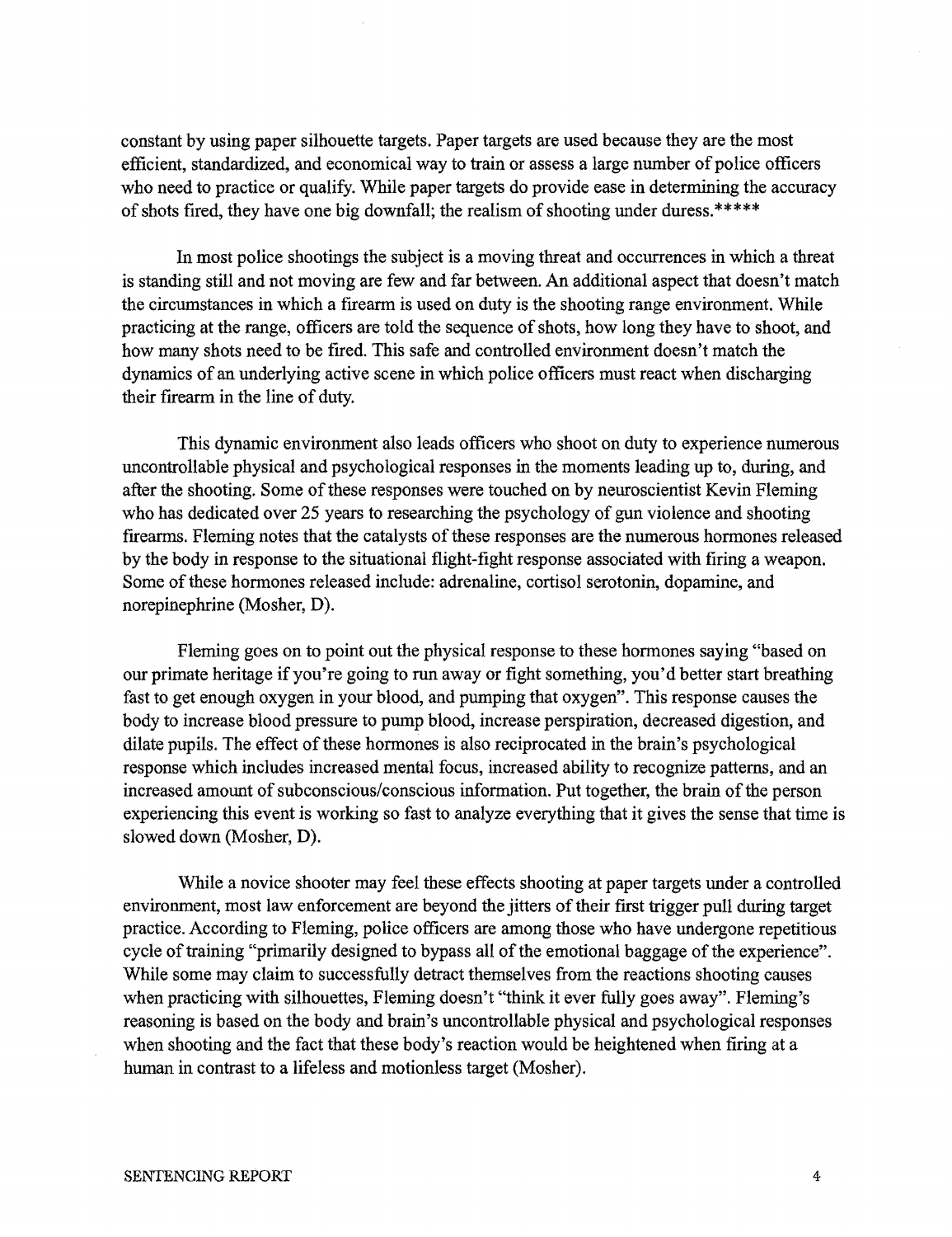constant by using paper silhouette targets. Paper targets are used because they are the most efficient, standardized, and economical way to train or assess a large number of police officers who need to practice or qualify. While paper targets do provide ease in determining the accuracy of shots fired, they have one big downfall; the realism of shooting under duress.\*\*\*\*\*

In most police shootings the subject is a moving threat and occurrences in which a threat is standing still and not moving are few and far between. An additional aspect that doesn't match the circumstances in which a firearm is used on duty is the shooting range environment. While practicing at the range, officers are told the sequence of shots, how long they have to shoot, and how many shots need to be fired. This safe and controlled environment doesn't match the dynamics of an underlying active scene in which police officers must react when discharging their firearm in the line of duty.

This dynamic environment also leads officers who shoot on duty to experience numerous uncontrollable physical and psychological responses in the moments leading up to, during, and after the shooting. Some of these responses were touched on by neuroscientist Kevin Fleming who has dedicated over 25 years to researching the psychology of gun violence and shooting firearms. Fleming notes that the catalysts of these responses are the numerous hormones released by the body in response to the situational flight-fight response associated with firing a weapon. Some of these hormones released include: adrenaline, cortisol serotonin, dopamine, and norepinephrine (Mosher, D).

Fleming goes on to point out the physical response to these hormones saying "based on our primate heritage if you're going to run away or fight something, you'd better start breathing fast to get enough oxygen in your blood, and pumping that oxygen". This response causes the body to increase blood pressure to pump blood, increase perspiration, decreased digestion, and dilate pupils. The effect of these hormones is also reciprocated in the brain's psychological response which includes increased mental focus, increased ability to recognize patterns, and an increased amount of subconscious/conscious information. Put together, the brain of the person experiencing this event is working so fast to analyze everything that it gives the sense that time is slowed down (Mosher, D).

While a novice shooter may feel these effects shooting at paper targets under a controlled environment, most law enforcement are beyond the jitters of their first trigger pull during target practice. According to Fleming, police officers are among those who have undergone repetitious cycle of training "primarily designed to bypass all of the emotional baggage of the experience". While some may claim to successfully detract themselves from the reactions shooting causes when practicing with silhouettes, Fleming doesn't "think it ever fully goes away". Fleming's reasoning is based on the body and brain's uncontrollable physical and psychological responses when shooting and the fact that these body's reaction would be heightened when firing at a human in contrast to a lifeless and motionless target (Mosher).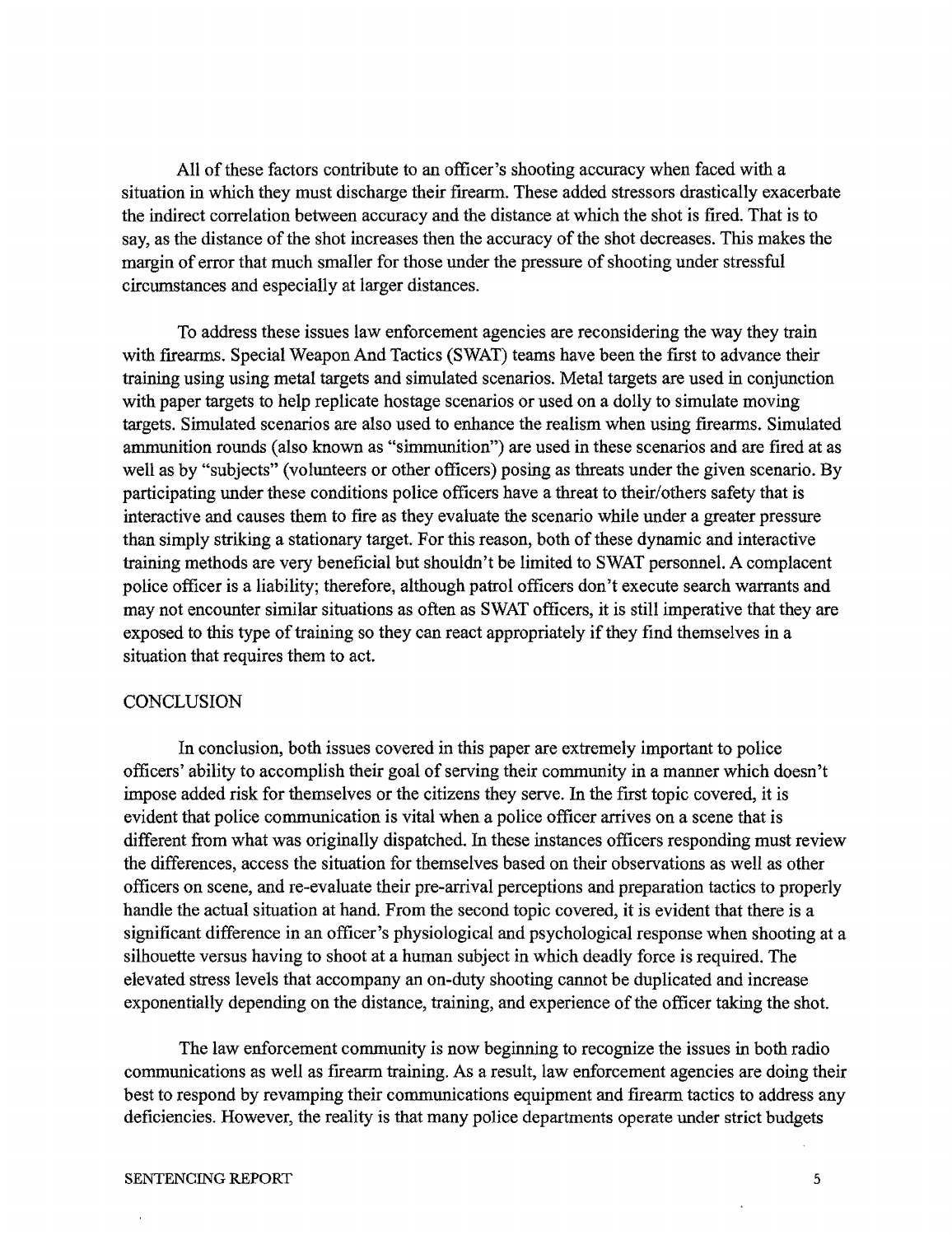All of these factors contribute to an officer's shooting accuracy when faced with a situation in which they must discharge their firearm. These added stressors drastically exacerbate the indirect correlation between accuracy and the distance at which the shot is fired. That is to say, as the distance of the shot increases then the accuracy of the shot decreases. This makes the margin of error that much smaller for those under the pressure of shooting under stressful circumstances and especially at larger distances.

To address these issues law enforcement agencies are reconsidering the way they train with firearms. Special Weapon And Tactics (SWAT) teams have been the first to advance their training using using metal targets and simulated scenarios. Metal targets are used in conjunction with paper targets to help replicate hostage scenarios or used on a dolly to simulate moving targets. Simulated scenarios are also used to enhance the realism when using firearms. Simulated ammunition rounds (also known as "simmunition") are used in these scenarios and are fired at as well as by "subjects" (volunteers or other officers) posing as threats under the given scenario. By participating under these conditions police officers have a threat to their/others safety that is interactive and causes them to fIre as they evaluate the scenario while under a greater pressure than simply striking a stationary target. For this reason, both of these dynamic and interactive training methods are very beneficial but shouldn't be limited to SWAT personnel. A complacent police officer is a liability; therefore, although patrol officers don't execute search warrants and may not encounter similar situations as often as SWAT officers, it is still imperative that they are exposed to this type of training so they can react appropriately if they find themselves in a situation that requires them to act.

# **CONCLUSION**

In conclusion, both issues covered in this paper are extremely important to police officers' ability to accomplish their goal of serving their community in a manner which doesn't impose added risk for themselves or the citizens they serve. In the fIrst topic covered, it is evident that police communication is vital when a police officer arrives on a scene that is different from what was originally dispatched. In these instances officers responding must review the differences, access the situation for themselves based on their observations as well as other officers on scene, and re-evaluate their pre-arrival perceptions and preparation tactics to properly handle the actual situation at hand. From the second topic covered, it is evident that there is a significant difference in an officer's physiological and psychological response when shooting at a silhouette versus having to shoot at a human subject in which deadly force is required. The elevated stress levels that accompany an on-duty shooting cannot be duplicated and increase exponentially depending on the distance, training, and experience of the officer taking the shot.

The law enforcement community is now beginning to recognize the issues in both radio communications as well as firearm training. As a result, law enforcement agencies are doing their best to respond by revamping their communications equipment and fIrearm tactics to address any deficiencies. However, the reality is that many police departments operate under strict budgets